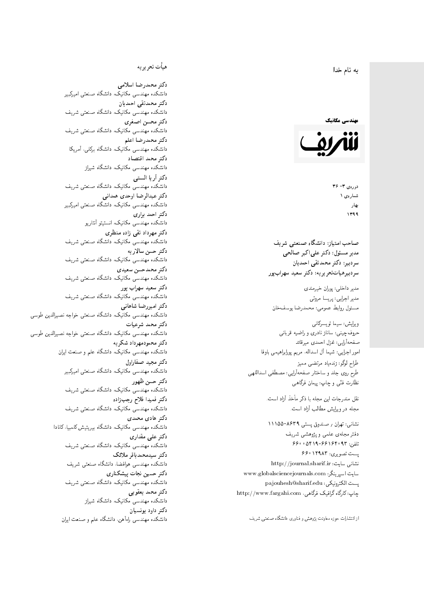#### $\overline{\phantom{a}}$ ز<br>ن به نام خدا .<br>.

#### مهندسی مکانیک



دورهي ٣- ٣۶ شمارەي ۱ بهار 1399

مدیر مسئول: دکتر علیاکبر صالحی = سردېيرهياتټحر ير يه: دکتر سعيد سهرابپور

مدير داخلى: پوران خيرمندى<br>ا مدير اجرايي: پريسا مروتي<br>. مسئول روابط عمومی: محمدرضا یوسفخان<br>.

ويرايش: سيما تويسركان<sub>ى</sub><br>م طراح لوگو: زندهیاد مرتضمی ممیز<br>ا طرح روی جلد و ساختار صفحهآرایی: مصطفی اسداللهی<br>مطلب منتقل ی و چاپ: پیمان فرگاهی<br>ا سردببر: دكتر محمدتقى احمديان<br>سردببرهيات تحر بر يه: دكتر سعيد سهراب پور<br>مدير اجرايى: پريسا مروتى<br>مسئول روابط عمومى: محمدرضا يوسف خان<br>ويرايش: سيما تويسركانى<br>حروف چينى: ساناز نادرى و راضيه قربانى<br>صفحهآرايى: شيما آل اسداله، م

نقل مندرجات این مجله با ذکر مأخذ آزاد است.<br>مجله در ویرایش مطالب آزاد است.

نشانی: تهران / صندوق پستی ۹۶۳۹–۱۱۱۵۵<br>دفتر مجلهی علمی و پژوهشی شریف<br>تاریستا و ۱۸۶۴ و ۱۸۶۸ 56000194-661969 × 6600 یست تصویری: ۱۲۹۸۳ ۶۶۰ نشانی سایت: http://journal.sharif.ir<br>ء سايت اسپرينگر: www.globalsciencejournals.com<br>دادم و روكان و كلستان و كلستان كه و است pajouhesh@sharif.edu :يست الكترونيكي: http://www.fargahi.com ، كرافيك فرگاهي h} QW |DavY x=oWv=O |Qw=vi w VywSB Cvw=at xRwL C=Q=WDv= R= h}QW |DavY x=oWv=O %R=}Dt= ?L=Y

### هيأت تحريريه

دكتر محمدرضا اسلامى دانشکده مهندسی مکانیک، دانشگاه صنعتی امیرکبیر<br>محمد مستقد است است دکتر محمدتقی احمدیان دانشکده مهندسی مکانیک، دانشگاه صنعتی شریف<br>سم <sub>ن</sub>کتر محسن اصغری دانشکده مهندسی مکانیک، دانشگاه صنعتی شریف<br>سم دكتر محمدرضا اعلم دانشکده مهندسی مکانیک، دانشگاه برکلی، آمریکا<br>محمد دكتر محمد اقتصاد دانشکده مهندسی مکانیک، دانشگاه شیراز<br>س دكتر أريا الست<mark>ى</mark> دانشکده مهندسی مکانیک، دانشگاه صنعتی شریف<br>محمد سیالی و ایل میکند:  $\ddot{\phantom{a}}$ دكتر عبدالرضا اوحدى همدانى دانشکده مهندسی مکانیک، دانشگاه صنعتی امیرکبیر<br>محمد است دکتر احمد براری دانشکده مهندسی مکانیک، انستیتو آنتاریو<br>س دکتر مهرداد نقبی زاده منظری دانشکده مهندسی مکانیک، دانشگاه صنعتی شریف<br>سم دكتر حسن سالاريه دانشکده مهندسی مکانیک، دانشگاه صنعتی شریف<br>م دکتر محمدحسن سعیدی دانشکده مهندسی مکانیک، دانشگاه صنعتی شریف<br>محمد دکتر سعید سهراب پور دانشکده مهندسی مکانیک، دانشگاه صنعتی شریف<br>محمد است و با داران م<br>. دکتر امیررضا شاهانی دانشکده مهندسی مکانیک، دانشگاه صنعتی خواجه نصیرالدین طوسی<br>محمد دكتر محمد شرعيات دانشکده مهندسی مکانیک، دانشگاه صنعتی خواجه نصیرالدین طوسی<br>م دكتر محمودمهرداد شكريه دانشکده مهندسی مکانیک، دانشگاه علم و صنعت ایران<br>م دكتر مجيد صفاراول مکانیک، دانشگاه صنعتی امیرکبیر<br>. دكتر حسن ظهور دانشکده مهندسی مکانیک، دانشگاه صنعتی شریف<br>سمست سایتاد دكتر فميدا فلاح رجب;إده دانشکده مهندسی مکانیک، دانشگاه صنعتی شریف<br>محمد با دکتر هادی محمدی  $\overline{a}$ دانشکده مهندسی مکانیک، دانشگاه بیریتیش کلمبیا، کانادا<br>سمسید است دکتر علی مقدار*ی* دانشکده مهندسی مکانیک، دانشگاه صنعتی شریف<br>اسمه دکتر سیدمحمدباقر ملائک  $\overline{a}$ دانشکده مهندسی هوافضا، دانشگاه صنعتی شریف<br>محمد دکتر حسین نجات پیشکنار*ی* مکانیک، دانشگاه صنعتی شریف<br>. دانشکده مهندسی م<br>دکتر محمد یعقوبی دانشکده مهندسی مکانیک، دانشگاه شیراز<br>محمد را دکتر داود بونسیان راءآهن، دانشگاه علم و صنعت ایران<br>. م طول الحالم التي تتم تناول الحالم التي تتم التي تتم التي تتم التي تتم التي تتم التي تتم التي تتم التي تتم التي ت<br>التي تتم التي تتم التي تتم التي تتم التي تتم التي تتم التي تتم التي تتم التي تتم التي تتم التي تتم التي تتم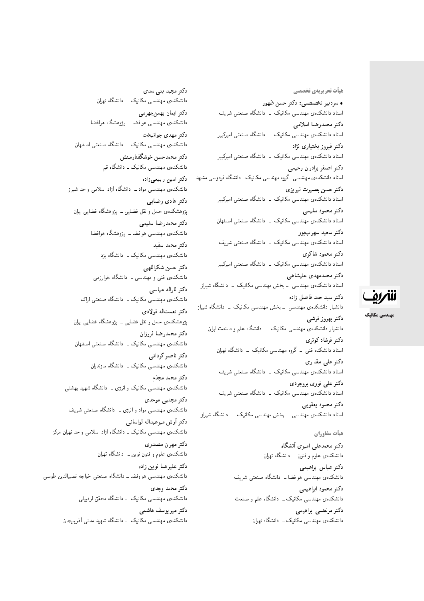هيأت تحريريهي تخصصي

• سردبير تخصصي: دكتر حسن ظهور استاد دانشکدهی مهندسی مکانیک <mark>– دانشگاه صنعتی شریف</mark> دكتر محمدرضا اسلامى استاد دانشکدهی مهندسی مکانیک ــ دانشگاه صنعتی امیرکبیر دکتر فیروز بختیار*ی* نژاد استاد دانشکدهی مهندسی مکانیک <mark>ـ دانشگاه صنعتی امیرکبیر</mark> دكتر اصغر برادران رحيمي استاد دانشکدهی مهندسی ـ گروه مهندسی مکانیک ـ دانشگاه فردوسی مشهد دكتر حسن بصيرت تبريزي استاد دانشکدهی مهندسی مکانیک <mark>ـ دانشگاه صنعتی امیرکبیر</mark> دكتر محمود سليمي استاد دانشکدهی مهندسی مکانیک - دانشگاه صنعتی اصفهان دکتر سعید سهرابپور استاد دانشکدهی مهندسی مکانیک <mark>– دانشگاه صنعتی شریف</mark> دكتر محمود شاكرى استاد دانشکدهی مهندسی مکانیک <mark>– دانشگاه صنعتی امیرکبیر</mark> دكتر محمدمهدى عليشاهي استاد دانشکدهی مهندسی <mark>ـ بخش مهندسی مکانیک ـ دانشگاه شیراز</mark> دكتر سيداحمد فاضل زاده دانشیار دانشکدهی مهندسی – بخش مهندسی مکانیک – دانشگاه شیراز

دكتر بهروز فرشي دانشیار دانشکدهی مهندسی مکانیک \_ دانشگاه علم و صنعت ایران دکت<sub>ر</sub> فرشاد کوثری استاد دانشکده فنبی <mark>ـ گروه مهندسی مکانیک ـ دانشگاه تهران</mark> دکتر علے مقدار**ی** استاد دانشکدهی مهندسی مکانیک \_ دانشگاه صنعتی شریف دکتر علی نوری بروجردی استاد دانشکدهی مهندسی مکانیک \_ دانشگاه صنعتی شریف دكتر محمود يعقوبي استاد دانشکدهی مهندسی ــ بخش مهندسی مکانیک ــ دانشگاه شیراز

### هيأت مشاوران

دكتر محمدعلى اميرى أنشكاه دانشکده، علموم و فنون ــ دانشگاه تهران دكتر عباس ابراهيمي دانشکدهی مهندسی هوافضا ــ دانشگاه صنعتی شریف دكتر محمود ابراهيمي دانشکدهی مهندسی مکانیک ــ دانشگاه علم و صنعت دكتر مرتضى ابراهيمي دانشکدهی مهندسی مکانیک ـــ دانشگاه تهران

دكتر مجيد بنى اسدى دانشکدهی مهندسی مکانیک ــ دانشگاه تهران دكتر ايمان بهمن جهرمي دانشکده ی مهندسی هوافضا ــ پژوهشگاه هوافضا دکتر مهدى جوانبخت دانشکدهی مهندسی مکانیک ــ دانشگاه صنعتی اصفهان دكتر محمدحسن خوشگفتارمنش دانشکدهی مهندسی مکانیک ــ دانشگاه قم دكتر امين ربيعي زاده دانشکدهی مهندسی مواد ــ دانشگاه آزاد اسلامی واحد شیراز دکتر هاد*ی رض*ایی پژوهشکدهی حمل و نقل فضایبی ــ پژوهشگاه فضایبی ایران دكتر محمدرضا سليمى دانشکده ی مهندسی هوافضا ــ پژوهشگاه هوافضا دكتر محمد سفيد دانشکدهی مهندسی مکانیک ــ دانشگاه یزد دكتر حسن شكراللهي دانشکدهی فنبی و مهندسی ــ دانشگاه خوارزمی دكتر ثاراله عباسى دانشکدهی مهندسی مکانیک ــ دانشگاه صنعتی اراک دكتر نعمتاله فولادى پژوهشکدهی حمل و نقل فضایبی ــ پژوهشگاه فضایبی ایران دكتر محمدرضا فروزان دانشکدهی مهندسی مکانیک ــ دانشگاه صنعتی اصفهان دكتر ناصر كردانى دانشکدهی مهندسی مکانیک ــ دانشگاه مازندران دكتر محمد مجدّم دانشکدهی مهندسی مکانیک و انرژی ــ دانشگاه شهید بهشتی دكتر مجتبى موحدى دانشکدهی مهندسی مواد و انرژی ــ دانشگاه صنعتی شریف دكتر أرش ميرعبداله لواساني دانشکدهی مهندسی مکانیک ــ دانشگاه آزاد اسلامی واحد تهران مرکز دكتر مهران مصدرى دانشکده، علموم و فنون نوین ـــ دانشگاه تهران د*ك*تر علي<sub>ا</sub>ضا نوين زاده دانشکدهی مهندسی هواوفضا ــ دانشگاه صنعتبی خواجه نصبیالدین طوسی دكتر محمد وحدى دانشکدهی مهندسی مکانیک - دانشگاه محقق اردبیلی دکتر میریوسف هاشمی دانشکده ی مهندسی مکانیک \_ دانشگاه شهید مدنی آذربایجان



مهندسی مکانیک